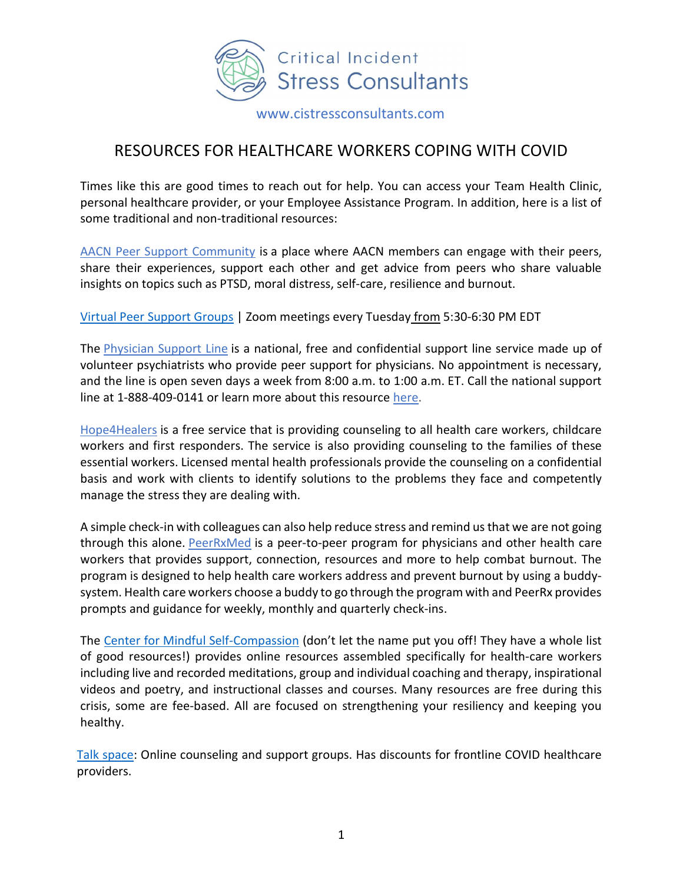

www.cistressconsultants.com

## RESOURCES FOR HEALTHCARE WORKERS COPING WITH COVID

Times like this are good times to reach out for help. You can access your Team Health Clinic, personal healthcare provider, or your Employee Assistance Program. In addition, here is a list of some traditional and non-traditional resources:

AACN Peer Support Community is a place where AACN members can engage with their peers, share their experiences, support each other and get advice from peers who share valuable insights on topics such as PTSD, moral distress, self-care, resilience and burnout.

Virtual Peer Support Groups | Zoom meetings every Tuesday from 5:30-6:30 PM EDT

The Physician Support Line is a national, free and confidential support line service made up of volunteer psychiatrists who provide peer support for physicians. No appointment is necessary, and the line is open seven days a week from 8:00 a.m. to 1:00 a.m. ET. Call the national support line at 1-888-409-0141 or learn more about this resource here.

Hope4Healers is a free service that is providing counseling to all health care workers, childcare workers and first responders. The service is also providing counseling to the families of these essential workers. Licensed mental health professionals provide the counseling on a confidential basis and work with clients to identify solutions to the problems they face and competently manage the stress they are dealing with.

A simple check-in with colleagues can also help reduce stress and remind us that we are not going through this alone. PeerRxMed is a peer-to-peer program for physicians and other health care workers that provides support, connection, resources and more to help combat burnout. The program is designed to help health care workers address and prevent burnout by using a buddysystem. Health care workers choose a buddy to go through the program with and PeerRx provides prompts and guidance for weekly, monthly and quarterly check-ins.

The Center for Mindful Self-Compassion (don't let the name put you off! They have a whole list of good resources!) provides online resources assembled specifically for health-care workers including live and recorded meditations, group and individual coaching and therapy, inspirational videos and poetry, and instructional classes and courses. Many resources are free during this crisis, some are fee-based. All are focused on strengthening your resiliency and keeping you healthy.

Talk space: Online counseling and support groups. Has discounts for frontline COVID healthcare providers.